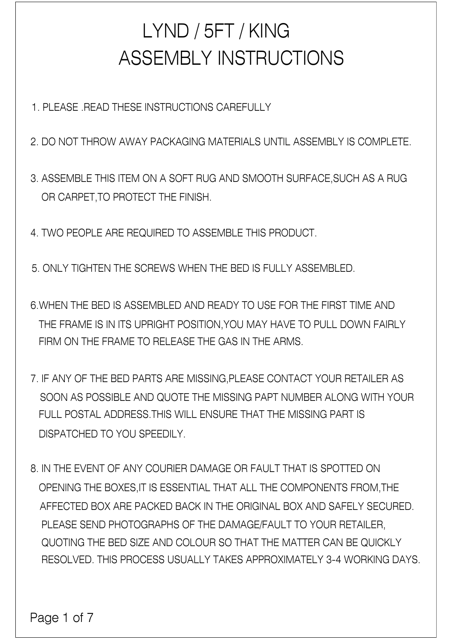## ASSEMBLY INSTRUCTIONS LYND / 5FT / KING

1. PLEASE .READ THESE INSTRUCTIONS CAREFULLY

2. DO NOT THROW AWAY PACKAGING MATERIALS UNTIL ASSEMBLY IS COMPLETE.

3. ASSEMBLE THIS ITEM ON A SOFT RUG AND SMOOTH SURFACE,SUCH AS A RUG OR CARPET,TO PROTECT THE FINISH.

4. TWO PEOPLE ARE REQUIRED TO ASSEMBLE THIS PRODUCT.

5. ONLY TIGHTEN THE SCREWS WHEN THE BED IS FULLY ASSEMBLED.

6.WHEN THE BED IS ASSEMBLED AND READY TO USE FOR THE FIRST TIME AND THE FRAME IS IN ITS UPRIGHT POSITION,YOU MAY HAVE TO PULL DOWN FAIRLY FIRM ON THE FRAME TO RELEASE THE GAS IN THE ARMS.

7. IF ANY OF THE BED PARTS ARE MISSING,PLEASE CONTACT YOUR RETAILER AS SOON AS POSSIBLE AND QUOTE THE MISSING PAPT NUMBER ALONG WITH YOUR FULL POSTAL ADDRESS.THIS WILL ENSURE THAT THE MISSING PART IS DISPATCHED TO YOU SPEEDILY.

8. IN THE EVENT OF ANY COURIER DAMAGE OR FAULT THAT IS SPOTTED ON OPENING THE BOXES,IT IS ESSENTIAL THAT ALL THE COMPONENTS FROM,THE AFFECTED BOX ARE PACKED BACK IN THE ORIGINAL BOX AND SAFELY SECURED. PLEASE SEND PHOTOGRAPHS OF THE DAMAGE/FAULT TO YOUR RETAILER, QUOTING THE BED SIZE AND COLOUR SO THAT THE MATTER CAN BE QUICKLY RESOLVED. THIS PROCESS USUALLY TAKES APPROXIMATELY 3-4 WORKING DAYS.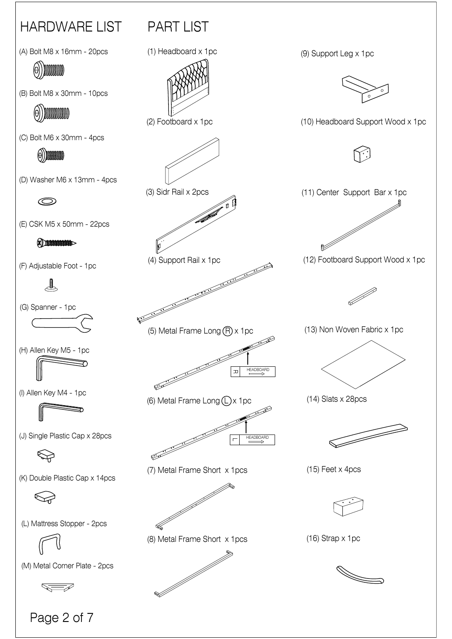

Page 2 of 7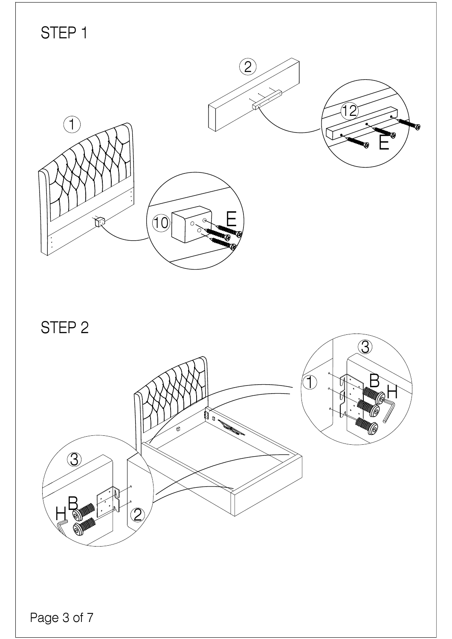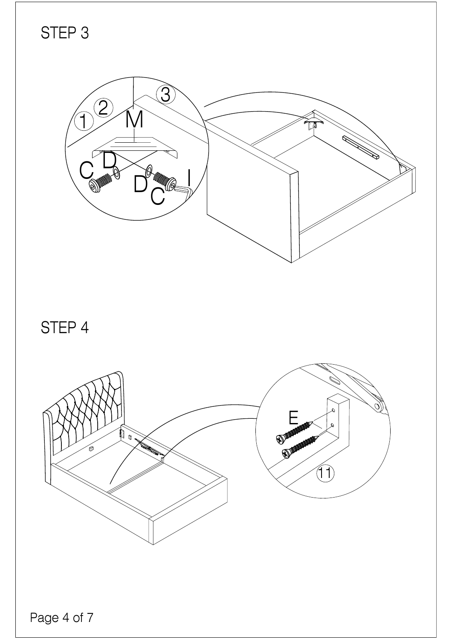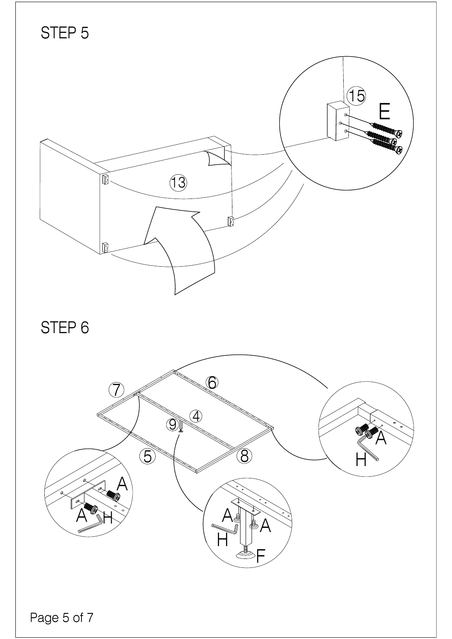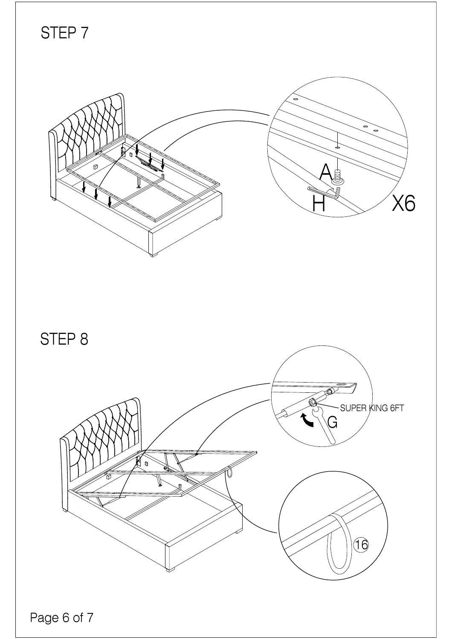